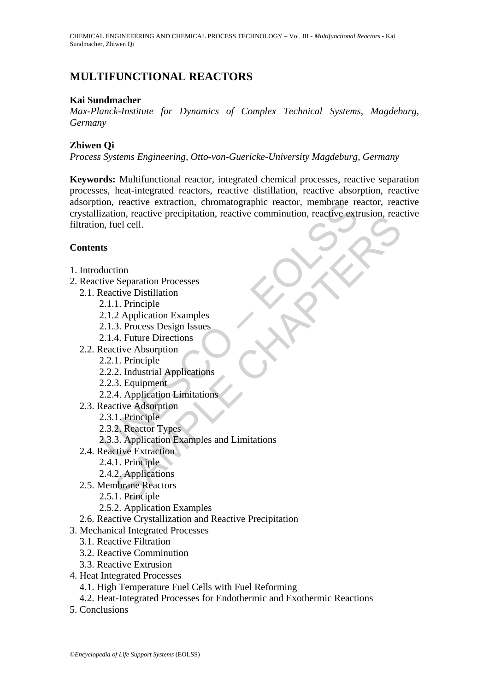# **MULTIFUNCTIONAL REACTORS**

### **Kai Sundmacher**

*Max-Planck-Institute for Dynamics of Complex Technical Systems, Magdeburg, Germany* 

## **Zhiwen Qi**

*Process Systems Engineering, Otto-von-Guericke-University Magdeburg, Germany* 

on, reactive extraction, chromatographic reactor, membrane relation, reactive extraction, reactive precipitation, reactive comminution, reactive extraction, fulled and the section of the Separation Processes<br>
Reactive Dist For Separation Processes<br>
icive Distribution<br>
Separation Processes<br>
Cive Distribution<br>
1. Principle<br>
2. Application Examples<br>
3. Process Design Issues<br>
4. Future Directions<br>
1. Principle<br>
2. Industrial Applications<br>
1. Pri **Keywords:** Multifunctional reactor, integrated chemical processes, reactive separation processes, heat-integrated reactors, reactive distillation, reactive absorption, reactive adsorption, reactive extraction, chromatographic reactor, membrane reactor, reactive crystallization, reactive precipitation, reactive comminution, reactive extrusion, reactive filtration, fuel cell.

## **Contents**

- 1. Introduction
- 2. Reactive Separation Processes
	- 2.1. Reactive Distillation
		- 2.1.1. Principle
		- 2.1.2 Application Examples
		- 2.1.3. Process Design Issues
		- 2.1.4. Future Directions
	- 2.2. Reactive Absorption
		- 2.2.1. Principle
		- 2.2.2. Industrial Applications
		- 2.2.3. Equipment
		- 2.2.4. Application Limitations
	- 2.3. Reactive Adsorption
		- 2.3.1. Principle
		- 2.3.2. Reactor Types
		- 2.3.3. Application Examples and Limitations
	- 2.4. Reactive Extraction
		- 2.4.1. Principle
		- 2.4.2. Applications
	- 2.5. Membrane Reactors
		- 2.5.1. Principle
		- 2.5.2. Application Examples
	- 2.6. Reactive Crystallization and Reactive Precipitation
- 3. Mechanical Integrated Processes
	- 3.1. Reactive Filtration
	- 3.2. Reactive Comminution
	- 3.3. Reactive Extrusion
- 4. Heat Integrated Processes
	- 4.1. High Temperature Fuel Cells with Fuel Reforming
	- 4.2. Heat-Integrated Processes for Endothermic and Exothermic Reactions
- 5. Conclusions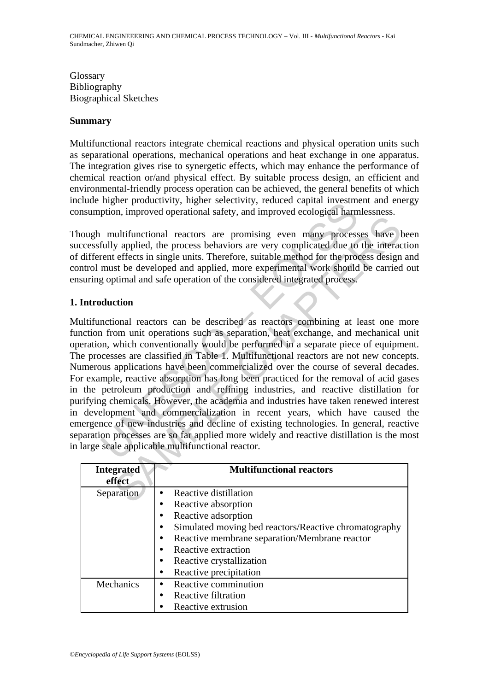Glossary Bibliography Biographical Sketches

## **Summary**

Multifunctional reactors integrate chemical reactions and physical operation units such as separational operations, mechanical operations and heat exchange in one apparatus. The integration gives rise to synergetic effects, which may enhance the performance of chemical reaction or/and physical effect. By suitable process design, an efficient and environmental-friendly process operation can be achieved, the general benefits of which include higher productivity, higher selectivity, reduced capital investment and energy consumption, improved operational safety, and improved ecological harmlessness.

Though multifunctional reactors are promising even many processes have been successfully applied, the process behaviors are very complicated due to the interaction of different effects in single units. Therefore, suitable method for the process design and control must be developed and applied, more experimental work should be carried out ensuring optimal and safe operation of the considered integrated process.

## **1. Introduction**

magnet productivity, ingiter selectivity, reduced capital investing<br>ption, improved operational safety, and improved ecological harm<br>multifunctional reactors are promising even many process<br>fully applied, the process behav multifunctional reactors are very complising even many processes have<br>valued due to the process behaviors are very complicated due to the interact<br>effects in single units. Therefore, suitable method for the process design<br> Multifunctional reactors can be described as reactors combining at least one more function from unit operations such as separation, heat exchange, and mechanical unit operation, which conventionally would be performed in a separate piece of equipment. The processes are classified in Table 1. Multifunctional reactors are not new concepts. Numerous applications have been commercialized over the course of several decades. For example, reactive absorption has long been practiced for the removal of acid gases in the petroleum production and refining industries, and reactive distillation for purifying chemicals. However, the academia and industries have taken renewed interest in development and commercialization in recent years, which have caused the emergence of new industries and decline of existing technologies. In general, reactive separation processes are so far applied more widely and reactive distillation is the most in large scale applicable multifunctional reactor.

| <b>Integrated</b><br>effect | <b>Multifunctional reactors</b>                                    |
|-----------------------------|--------------------------------------------------------------------|
| Separation                  | Reactive distillation<br>$\bullet$                                 |
|                             | Reactive absorption<br>٠                                           |
|                             | Reactive adsorption<br>$\bullet$                                   |
|                             | Simulated moving bed reactors/Reactive chromatography<br>$\bullet$ |
|                             | Reactive membrane separation/Membrane reactor<br>$\bullet$         |
|                             | Reactive extraction<br>$\bullet$                                   |
|                             | Reactive crystallization<br>٠                                      |
|                             | Reactive precipitation<br>٠                                        |
| Mechanics                   | Reactive comminution<br>$\bullet$                                  |
|                             | Reactive filtration<br>$\bullet$                                   |
|                             | Reactive extrusion<br>٠                                            |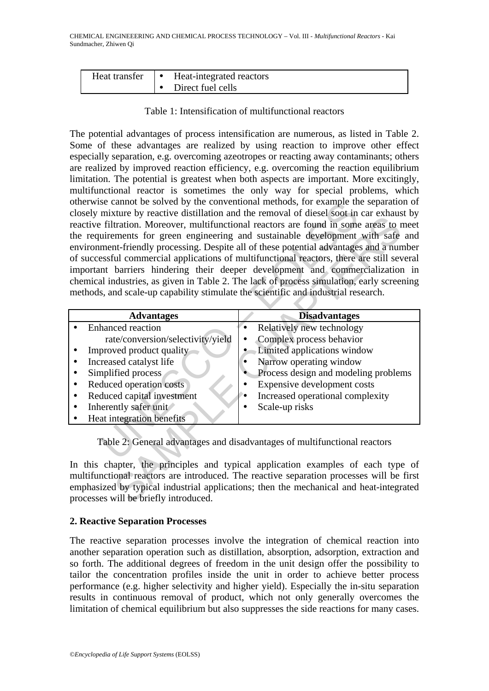| Heat transfer | Heat-integrated reactors |
|---------------|--------------------------|
|               | Direct fuel cells        |

Table 1: Intensification of multifunctional reactors

The potential advantages of process intensification are numerous, as listed in Table 2. Some of these advantages are realized by using reaction to improve other effect especially separation, e.g. overcoming azeotropes or reacting away contaminants; others are realized by improved reaction efficiency, e.g. overcoming the reaction equilibrium limitation. The potential is greatest when both aspects are important. More excitingly, multifunctional reactor is sometimes the only way for special problems, which otherwise cannot be solved by the conventional methods, for example the separation of closely mixture by reactive distillation and the removal of diesel soot in car exhaust by reactive filtration. Moreover, multifunctional reactors are found in some areas to meet the requirements for green engineering and sustainable development with safe and environment-friendly processing. Despite all of these potential advantages and a number of successful commercial applications of multifunctional reactors, there are still several important barriers hindering their deeper development and commercialization in chemical industries, as given in Table 2. The lack of process simulation, early screening methods, and scale-up capability stimulate the scientific and industrial research.

|                                                                                                                                                                                                                                                                                       | otherwise cannot be solved by the conventional methods, for example the separation of<br>closely mixture by reactive distillation and the removal of diesel soot in car exhaust by<br>reactive filtration. Moreover, multifunctional reactors are found in some areas to meet<br>the requirements for green engineering and sustainable development with safe and<br>environment-friendly processing. Despite all of these potential advantages and a number<br>of successful commercial applications of multifunctional reactors, there are still several<br>important barriers hindering their deeper development and commercialization in |
|---------------------------------------------------------------------------------------------------------------------------------------------------------------------------------------------------------------------------------------------------------------------------------------|----------------------------------------------------------------------------------------------------------------------------------------------------------------------------------------------------------------------------------------------------------------------------------------------------------------------------------------------------------------------------------------------------------------------------------------------------------------------------------------------------------------------------------------------------------------------------------------------------------------------------------------------|
| methods, and scale-up capability stimulate the scientific and industrial research.                                                                                                                                                                                                    | chemical industries, as given in Table 2. The lack of process simulation, early screening                                                                                                                                                                                                                                                                                                                                                                                                                                                                                                                                                    |
| <b>Advantages</b>                                                                                                                                                                                                                                                                     | <b>Disadvantages</b>                                                                                                                                                                                                                                                                                                                                                                                                                                                                                                                                                                                                                         |
| <b>Enhanced</b> reaction<br>rate/conversion/selectivity/yield<br>Improved product quality<br>Increased catalyst life<br>$\bullet$<br>Simplified process<br>Reduced operation costs<br>٠<br>Reduced capital investment<br>٠<br>Inherently safer unit<br>٠<br>Heat integration benefits | Relatively new technology<br>$\bullet$<br>Complex process behavior<br>Limited applications window<br>Narrow operating window<br>٠<br>Process design and modeling problems<br>Expensive development costs<br>Increased operational complexity<br>Scale-up risks                                                                                                                                                                                                                                                                                                                                                                               |
| processes will be briefly introduced.                                                                                                                                                                                                                                                 | Table 2: General advantages and disadvantages of multifunctional reactors<br>In this chapter, the principles and typical application examples of each type of<br>multifunctional reactors are introduced. The reactive separation processes will be first<br>emphasized by typical industrial applications; then the mechanical and heat-integrated                                                                                                                                                                                                                                                                                          |

## **2. Reactive Separation Processes**

The reactive separation processes involve the integration of chemical reaction into another separation operation such as distillation, absorption, adsorption, extraction and so forth. The additional degrees of freedom in the unit design offer the possibility to tailor the concentration profiles inside the unit in order to achieve better process performance (e.g. higher selectivity and higher yield). Especially the in-situ separation results in continuous removal of product, which not only generally overcomes the limitation of chemical equilibrium but also suppresses the side reactions for many cases.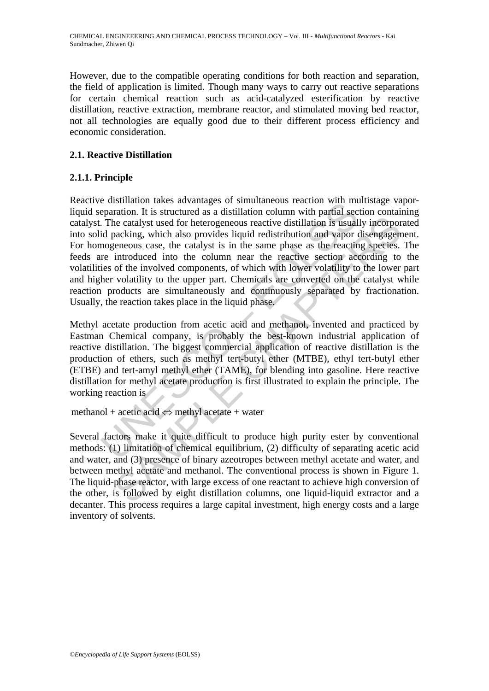However, due to the compatible operating conditions for both reaction and separation, the field of application is limited. Though many ways to carry out reactive separations for certain chemical reaction such as acid-catalyzed esterification by reactive distillation, reactive extraction, membrane reactor, and stimulated moving bed reactor, not all technologies are equally good due to their different process efficiency and economic consideration.

## **2.1. Reactive Distillation**

## **2.1.1. Principle**

e usualloul cases advantages of simulatarous reaction with met met<br>eparation. It is structured as a distillation column with partial sec-<br>The catalyst used for heterogeneous reactive distillation is usual<br>id packing, which ne catalyst used for heterogeneous reactive distillation is usually incorpor<br>acking, which also provides liquid redistribution and vapor disengagen<br>encous case, the catalyst is in the same phase as the reacting species.<br>I Reactive distillation takes advantages of simultaneous reaction with multistage vaporliquid separation. It is structured as a distillation column with partial section containing catalyst. The catalyst used for heterogeneous reactive distillation is usually incorporated into solid packing, which also provides liquid redistribution and vapor disengagement. For homogeneous case, the catalyst is in the same phase as the reacting species. The feeds are introduced into the column near the reactive section according to the volatilities of the involved components, of which with lower volatility to the lower part and higher volatility to the upper part. Chemicals are converted on the catalyst while reaction products are simultaneously and continuously separated by fractionation. Usually, the reaction takes place in the liquid phase.

Methyl acetate production from acetic acid and methanol, invented and practiced by Eastman Chemical company, is probably the best-known industrial application of reactive distillation. The biggest commercial application of reactive distillation is the production of ethers, such as methyl tert-butyl ether (MTBE), ethyl tert-butyl ether (ETBE) and tert-amyl methyl ether (TAME), for blending into gasoline. Here reactive distillation for methyl acetate production is first illustrated to explain the principle. The working reaction is

methanol + acetic acid  $\Leftrightarrow$  methyl acetate + water

Several factors make it quite difficult to produce high purity ester by conventional methods: (1) limitation of chemical equilibrium, (2) difficulty of separating acetic acid and water, and (3) presence of binary azeotropes between methyl acetate and water, and between methyl acetate and methanol. The conventional process is shown in Figure 1. The liquid-phase reactor, with large excess of one reactant to achieve high conversion of the other, is followed by eight distillation columns, one liquid-liquid extractor and a decanter. This process requires a large capital investment, high energy costs and a large inventory of solvents.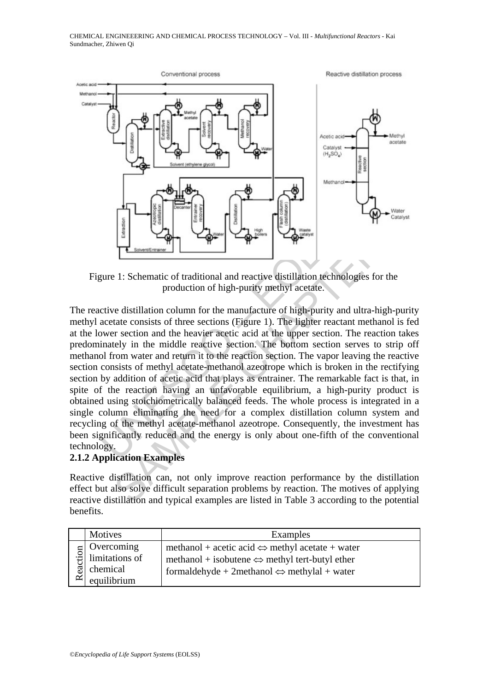

Figure 1: Schematic of traditional and reactive distillation technologies for the production of high-purity methyl acetate.

UNESCO – EOLSS Example the detection and the energy is only about one-fifth of the conventioning of the detection of high-purity methyl acetate.<br>
The consists of the sections of the production of high-purity methyl acetate.<br>
The consists The reactive distillation column for the manufacture of high-purity and ultra-high-purity methyl acetate consists of three sections (Figure 1). The lighter reactant methanol is fed at the lower section and the heavier acetic acid at the upper section. The reaction takes predominately in the middle reactive section. The bottom section serves to strip off methanol from water and return it to the reaction section. The vapor leaving the reactive section consists of methyl acetate-methanol azeotrope which is broken in the rectifying section by addition of acetic acid that plays as entrainer. The remarkable fact is that, in spite of the reaction having an unfavorable equilibrium, a high-purity product is obtained using stoichiometrically balanced feeds. The whole process is integrated in a single column eliminating the need for a complex distillation column system and recycling of the methyl acetate-methanol azeotrope. Consequently, the investment has been significantly reduced and the energy is only about one-fifth of the conventional technology.

### **2.1.2 Application Examples**

Reactive distillation can, not only improve reaction performance by the distillation effect but also solve difficult separation problems by reaction. The motives of applying reactive distillation and typical examples are listed in Table 3 according to the potential benefits.

| Motives                                                               | Examples                                                                                                                                                                                          |
|-----------------------------------------------------------------------|---------------------------------------------------------------------------------------------------------------------------------------------------------------------------------------------------|
| Overcoming<br>Fortcoming<br>limitations of<br>chemical<br>equilibrium | methanol + acetic acid $\Leftrightarrow$ methyl acetate + water<br>methanol + isobutene $\Leftrightarrow$ methyl tert-butyl ether<br>formaldehyde + 2 methanol $\Leftrightarrow$ methylal + water |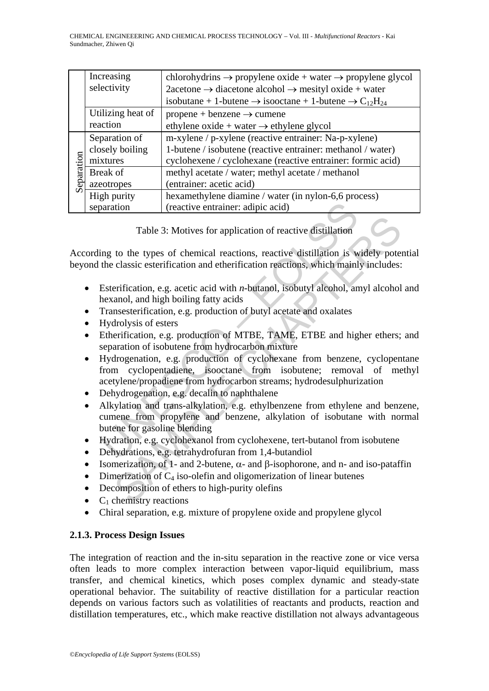|            | Increasing<br>selectivity | chlorohydrins $\rightarrow$ propylene oxide + water $\rightarrow$ propylene glycol<br>$2$ acetone $\rightarrow$ diacetone alcohol $\rightarrow$ mesityl oxide + water |
|------------|---------------------------|-----------------------------------------------------------------------------------------------------------------------------------------------------------------------|
|            |                           | isobutane + 1-butene $\rightarrow$ isooctane + 1-butene $\rightarrow$ C <sub>12</sub> H <sub>24</sub>                                                                 |
|            | Utilizing heat of         | propene + benzene $\rightarrow$ cumene                                                                                                                                |
|            | reaction                  | ethylene oxide + water $\rightarrow$ ethylene glycol                                                                                                                  |
| Separation | Separation of             | m-xylene / p-xylene (reactive entrainer: Na-p-xylene)                                                                                                                 |
|            | closely boiling           | 1-butene / isobutene (reactive entrainer: methanol / water)                                                                                                           |
|            | mixtures                  | cyclohexene / cyclohexane (reactive entrainer: formic acid)                                                                                                           |
|            | Break of                  | methyl acetate / water; methyl acetate / methanol                                                                                                                     |
|            | azeotropes                | (entrainer: acetic acid)                                                                                                                                              |
|            | High purity               | hexamethylene diamine / water (in nylon-6,6 process)                                                                                                                  |
|            | separation                | (reactive entrainer: adipic acid)                                                                                                                                     |

Table 3: Motives for application of reactive distillation

According to the types of chemical reactions, reactive distillation is widely potential beyond the classic esterification and etherification reactions, which mainly includes:

- Esterification, e.g. acetic acid with *n*-butanol, isobutyl alcohol, amyl alcohol and hexanol, and high boiling fatty acids
- Transesterification, e.g. production of butyl acetate and oxalates
- Hydrolysis of esters
- Etherification, e.g. production of MTBE, TAME, ETBE and higher ethers; and separation of isobutene from hydrocarbon mixture
- Transform (reactive entrainer: adipic acid)<br>
Table 3: Motives for application of reactive distillation<br>
ing to the types of chemical reactions, reactive distillation is<br>
the classic esterification and etherification reacti Table 3: Motives for application of reactive distillation<br>to the types of chemical reactions, reactive distillation is widely pote<br>classic esterification and etherification reactions, which mainly includes:<br>erification, e • Hydrogenation, e.g. production of cyclohexane from benzene, cyclopentane from cyclopentadiene, isooctane from isobutene; removal of methyl acetylene/propadiene from hydrocarbon streams; hydrodesulphurization
- Dehydrogenation, e.g. decalin to naphthalene
- Alkylation and trans-alkylation, e.g. ethylbenzene from ethylene and benzene, cumene from propylene and benzene, alkylation of isobutane with normal butene for gasoline blending
- Hydration, e.g. cyclohexanol from cyclohexene, tert-butanol from isobutene
- Dehydrations, e.g. tetrahydrofuran from 1,4-butandiol
- Isomerization, of 1- and 2-butene,  $\alpha$  and  $\beta$ -isophorone, and n- and iso-pataffin
- Dimerization of  $C_4$  iso-olefin and oligomerization of linear butenes
- Decomposition of ethers to high-purity olefins
- $C_1$  chemistry reactions
- Chiral separation, e.g. mixture of propylene oxide and propylene glycol

## **2.1.3. Process Design Issues**

The integration of reaction and the in-situ separation in the reactive zone or vice versa often leads to more complex interaction between vapor-liquid equilibrium, mass transfer, and chemical kinetics, which poses complex dynamic and steady-state operational behavior. The suitability of reactive distillation for a particular reaction depends on various factors such as volatilities of reactants and products, reaction and distillation temperatures, etc., which make reactive distillation not always advantageous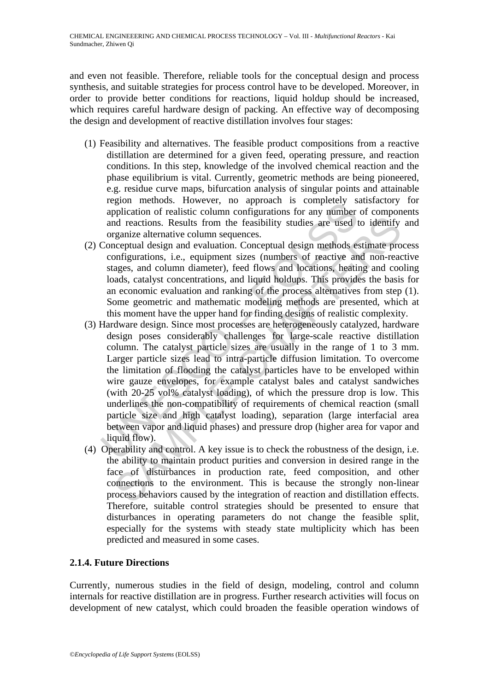and even not feasible. Therefore, reliable tools for the conceptual design and process synthesis, and suitable strategies for process control have to be developed. Moreover, in order to provide better conditions for reactions, liquid holdup should be increased, which requires careful hardware design of packing. An effective way of decomposing the design and development of reactive distillation involves four stages:

- (1) Feasibility and alternatives. The feasible product compositions from a reactive distillation are determined for a given feed, operating pressure, and reaction conditions. In this step, knowledge of the involved chemical reaction and the phase equilibrium is vital. Currently, geometric methods are being pioneered, e.g. residue curve maps, bifurcation analysis of singular points and attainable region methods. However, no approach is completely satisfactory for application of realistic column configurations for any number of components and reactions. Results from the feasibility studies are used to identify and organize alternative column sequences.
- (2) Conceptual design and evaluation. Conceptual design methods estimate process configurations, i.e., equipment sizes (numbers of reactive and non-reactive stages, and column diameter), feed flows and locations, heating and cooling loads, catalyst concentrations, and liquid holdups. This provides the basis for an economic evaluation and ranking of the process alternatives from step (1). Some geometric and mathematic modeling methods are presented, which at this moment have the upper hand for finding designs of realistic complexity.
- region includes. However, in approach is confinenced satisfied application of realistic column configurations for any number<br>and reactions. Results from the feasibility studies are used to reganize alternative column seque from the feasibility studies are used to identify<br>derections. Results from the feasibility studies are used to identify<br>granize alternative column sequences.<br>Conceptual design methods estimate proofingurations, i.e., equip (3) Hardware design. Since most processes are heterogeneously catalyzed, hardware design poses considerably challenges for large-scale reactive distillation column. The catalyst particle sizes are usually in the range of 1 to 3 mm. Larger particle sizes lead to intra-particle diffusion limitation. To overcome the limitation of flooding the catalyst particles have to be enveloped within wire gauze envelopes, for example catalyst bales and catalyst sandwiches (with 20-25 vol% catalyst loading), of which the pressure drop is low. This underlines the non-compatibility of requirements of chemical reaction (small particle size and high catalyst loading), separation (large interfacial area between vapor and liquid phases) and pressure drop (higher area for vapor and liquid flow).
- (4) Operability and control. A key issue is to check the robustness of the design, i.e. the ability to maintain product purities and conversion in desired range in the face of disturbances in production rate, feed composition, and other connections to the environment. This is because the strongly non-linear process behaviors caused by the integration of reaction and distillation effects. Therefore, suitable control strategies should be presented to ensure that disturbances in operating parameters do not change the feasible split, especially for the systems with steady state multiplicity which has been predicted and measured in some cases.

## **2.1.4. Future Directions**

Currently, numerous studies in the field of design, modeling, control and column internals for reactive distillation are in progress. Further research activities will focus on development of new catalyst, which could broaden the feasible operation windows of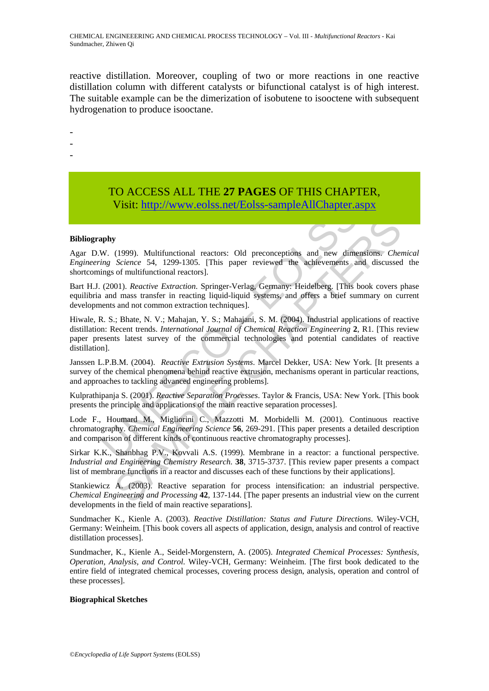reactive distillation. Moreover, coupling of two or more reactions in one reactive distillation column with different catalysts or bifunctional catalyst is of high interest. The suitable example can be the dimerization of isobutene to isooctene with subsequent hydrogenation to produce isooctane.

-

- -
- -

# TO ACCESS ALL THE **27 PAGES** OF THIS CHAPTER, Visit: http://www.eolss.net/Eolss-sampleAllChapter.aspx

#### **Bibliography**

Agar D.W. (1999). Multifunctional reactors: Old preconceptions and new dimensions. *Chemical Engineering Science* 54, 1299-1305. [This paper reviewed the achievements and discussed the shortcomings of multifunctional reactors].

Bart H.J. (2001). *Reactive Extraction*. Springer-Verlag, Germany: Heidelberg. [This book covers phase equilibria and mass transfer in reacting liquid-liquid systems, and offers a brief summary on current developments and not common extraction techniques].

**Visit:** http://www.colss.net/Eolss-sampleAllChapter.a<br>
aphy<br>
w. (1999). Multifunctional reactors: Old preconceptions and new dime<br>
ing [S](https://www.eolss.net/ebooklib/sc_cart.aspx?File=E6-34-04-09)cience 54, 1299-1305. [This paper reviewed the achievements at<br>
ing Science 54, 1299-(1999). Multifunctional reactors: Old preconceptions and new dimensions. Cherence 54, 1299-1305. (This paper reviewed the achievements and discussed of ordinational reactors].<br>
Scrience 54, 1299-1305. (This paper reviewed Hiwale, R. S.; Bhate, N. V.; Mahajan, Y. S.; Mahajani, S. M. (2004). Industrial applications of reactive distillation: Recent trends. *International Journal of Chemical Reaction Engineering* **2**, R1. [This review paper presents latest survey of the commercial technologies and potential candidates of reactive distillation].

Janssen L.P.B.M. (2004). *Reactive Extrusion Systems*. Marcel Dekker, USA: New York. [It presents a survey of the chemical phenomena behind reactive extrusion, mechanisms operant in particular reactions, and approaches to tackling advanced engineering problems].

Kulprathipanja S. (2001). *Reactive Separation Processes*. Taylor & Francis, USA: New York. [This book presents the principle and applications of the main reactive separation processes].

Lode F., Houmard M., Migliorini C., Mazzotti M. Morbidelli M. (2001). Continuous reactive chromatography. *Chemical Engineering Science* **56**, 269-291. [This paper presents a detailed description and comparison of different kinds of continuous reactive chromatography processes].

Sirkar K.K., Shanbhag P.V., Kovvali A.S. (1999). Membrane in a reactor: a functional perspective. *Industrial and Engineering Chemistry Research*. **38**, 3715-3737. [This review paper presents a compact list of membrane functions in a reactor and discusses each of these functions by their applications].

Stankiewicz A. (2003). Reactive separation for process intensification: an industrial perspective. *Chemical Engineering and Processing* **42**, 137-144. [The paper presents an industrial view on the current developments in the field of main reactive separations].

Sundmacher K., Kienle A. (2003). *Reactive Distillation: Status and Future Directions*. Wiley-VCH, Germany: Weinheim. [This book covers all aspects of application, design, analysis and control of reactive distillation processes].

Sundmacher, K., Kienle A., Seidel-Morgenstern, A. (2005). *Integrated Chemical Processes: Synthesis, Operation, Analysis, and Control*. Wiley-VCH, Germany: Weinheim. [The first book dedicated to the entire field of integrated chemical processes, covering process design, analysis, operation and control of these processes].

#### **Biographical Sketches**